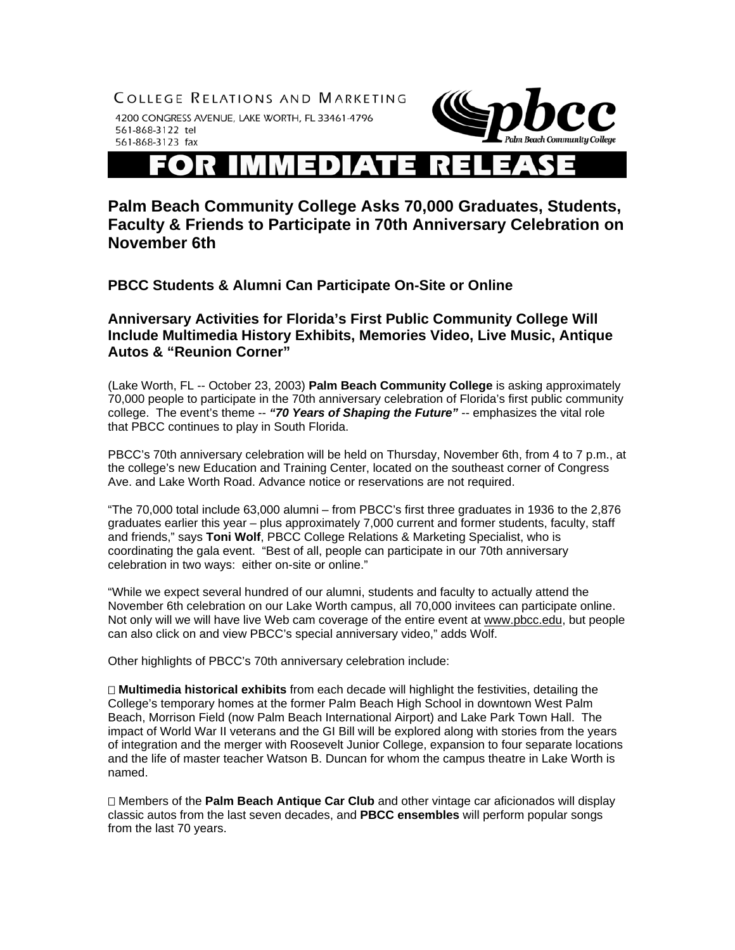

## **Palm Beach Community College Asks 70,000 Graduates, Students, Faculty & Friends to Participate in 70th Anniversary Celebration on November 6th**

**PBCC Students & Alumni Can Participate On-Site or Online** 

**Anniversary Activities for Florida's First Public Community College Will Include Multimedia History Exhibits, Memories Video, Live Music, Antique Autos & "Reunion Corner"** 

(Lake Worth, FL -- October 23, 2003) **Palm Beach Community College** is asking approximately 70,000 people to participate in the 70th anniversary celebration of Florida's first public community college. The event's theme -- *"70 Years of Shaping the Future"* -- emphasizes the vital role that PBCC continues to play in South Florida.

PBCC's 70th anniversary celebration will be held on Thursday, November 6th, from 4 to 7 p.m., at the college's new Education and Training Center, located on the southeast corner of Congress Ave. and Lake Worth Road. Advance notice or reservations are not required.

"The 70,000 total include 63,000 alumni – from PBCC's first three graduates in 1936 to the 2,876 graduates earlier this year – plus approximately 7,000 current and former students, faculty, staff and friends," says **Toni Wolf**, PBCC College Relations & Marketing Specialist, who is coordinating the gala event. "Best of all, people can participate in our 70th anniversary celebration in two ways: either on-site or online."

"While we expect several hundred of our alumni, students and faculty to actually attend the November 6th celebration on our Lake Worth campus, all 70,000 invitees can participate online. Not only will we will have live Web cam coverage of the entire event at www.pbcc.edu, but people can also click on and view PBCC's special anniversary video," adds Wolf.

Other highlights of PBCC's 70th anniversary celebration include:

 **Multimedia historical exhibits** from each decade will highlight the festivities, detailing the College's temporary homes at the former Palm Beach High School in downtown West Palm Beach, Morrison Field (now Palm Beach International Airport) and Lake Park Town Hall. The impact of World War II veterans and the GI Bill will be explored along with stories from the years of integration and the merger with Roosevelt Junior College, expansion to four separate locations and the life of master teacher Watson B. Duncan for whom the campus theatre in Lake Worth is named.

 Members of the **Palm Beach Antique Car Club** and other vintage car aficionados will display classic autos from the last seven decades, and **PBCC ensembles** will perform popular songs from the last 70 years.